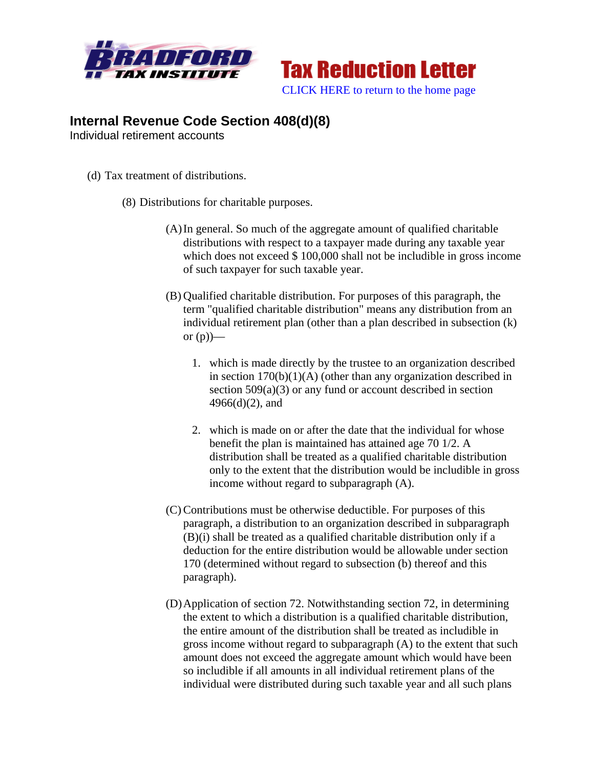



## **Internal Revenue Code Section 408(d)(8)**

Individual retirement accounts

- (d) Tax treatment of distributions.
	- (8) Distributions for charitable purposes.
		- (A)In general. So much of the aggregate amount of qualified charitable distributions with respect to a taxpayer made during any taxable year which does not exceed \$100,000 shall not be includible in gross income of such taxpayer for such taxable year.
		- (B) Qualified charitable distribution. For purposes of this paragraph, the term "qualified charitable distribution" means any distribution from an individual retirement plan (other than a plan described in subsection (k) or  $(p)$ —
			- 1. which is made directly by the trustee to an organization described in section  $170(b)(1)(A)$  (other than any organization described in section 509(a)(3) or any fund or account described in section 4966(d)(2), and
			- 2. which is made on or after the date that the individual for whose benefit the plan is maintained has attained age 70 1/2. A distribution shall be treated as a qualified charitable distribution only to the extent that the distribution would be includible in gross income without regard to subparagraph (A).
		- (C) Contributions must be otherwise deductible. For purposes of this paragraph, a distribution to an organization described in subparagraph (B)(i) shall be treated as a qualified charitable distribution only if a deduction for the entire distribution would be allowable under section 170 (determined without regard to subsection (b) thereof and this paragraph).
		- (D)Application of section 72. Notwithstanding section 72, in determining the extent to which a distribution is a qualified charitable distribution, the entire amount of the distribution shall be treated as includible in gross income without regard to subparagraph (A) to the extent that such amount does not exceed the aggregate amount which would have been so includible if all amounts in all individual retirement plans of the individual were distributed during such taxable year and all such plans